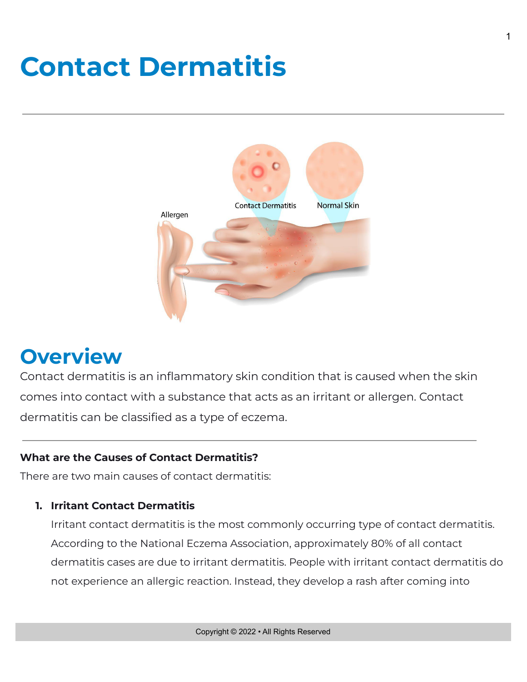# **Contact Dermatitis**



# **Overview**

Contact dermatitis is an inflammatory skin condition that is caused when the skin comes into contact with a substance that acts as an irritant or allergen. Contact dermatitis can be classified as a type of eczema.

#### **What are the Causes of Contact Dermatitis?**

There are two main causes of contact dermatitis:

#### **1. Irritant Contact Dermatitis**

Irritant contact dermatitis is the most commonly occurring type of contact dermatitis. According to the National Eczema Association, approximately 80% of all contact dermatitis cases are due to irritant dermatitis. People with irritant contact dermatitis do not experience an allergic reaction. Instead, they develop a rash after coming into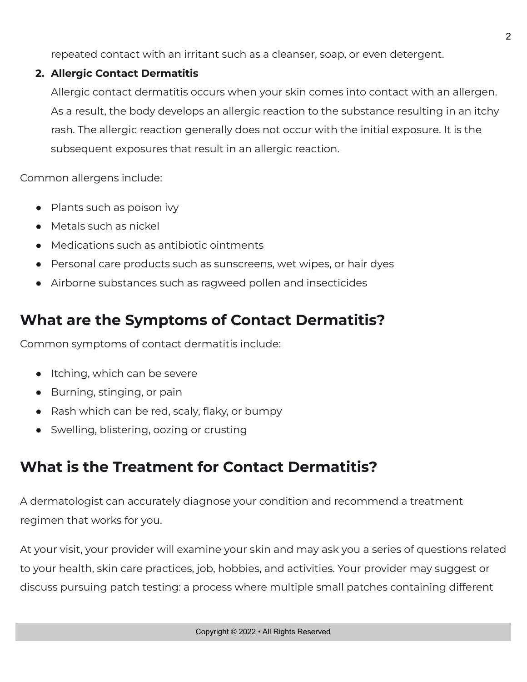repeated contact with an irritant such as a cleanser, soap, or even detergent.

#### **2. Allergic Contact Dermatitis**

Allergic contact dermatitis occurs when your skin comes into contact with an allergen. As a result, the body develops an allergic reaction to the substance resulting in an itchy rash. The allergic reaction generally does not occur with the initial exposure. It is the subsequent exposures that result in an allergic reaction.

Common allergens include:

- Plants such as poison ivy
- Metals such as nickel
- Medications such as antibiotic ointments
- Personal care products such as sunscreens, wet wipes, or hair dyes
- Airborne substances such as ragweed pollen and insecticides

### **What are the Symptoms of Contact Dermatitis?**

Common symptoms of contact dermatitis include:

- Itching, which can be severe
- Burning, stinging, or pain
- Rash which can be red, scaly, flaky, or bumpy
- Swelling, blistering, oozing or crusting

## **What is the Treatment for Contact Dermatitis?**

A dermatologist can accurately diagnose your condition and recommend a treatment regimen that works for you.

At your visit, your provider will examine your skin and may ask you a series of questions related to your health, skin care practices, job, hobbies, and activities. Your provider may suggest or discuss pursuing patch testing: a process where multiple small patches containing different